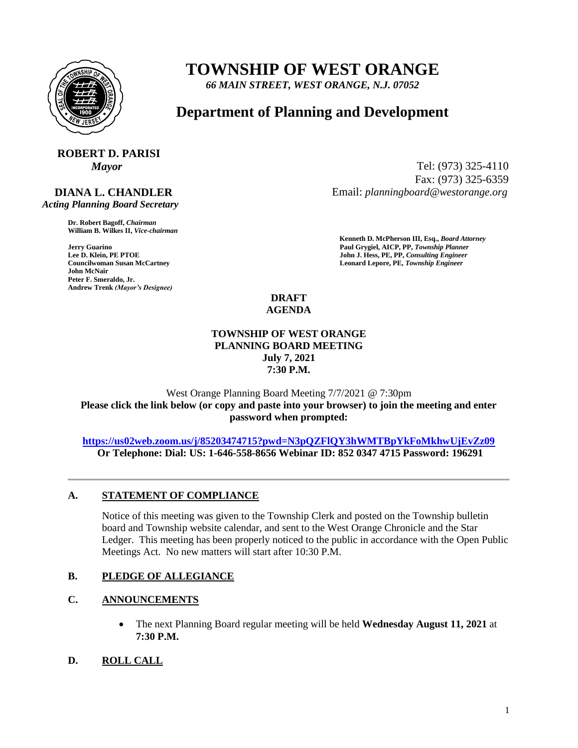

# **TOWNSHIP OF WEST ORANGE**

*66 MAIN STREET, WEST ORANGE, N.J. 07052*

# **Department of Planning and Development**

# **ROBERT D. PARISI**

# **DIANA L. CHANDLER**

 *Acting Planning Board Secretary*

**Dr. Robert Bagoff,** *Chairman*  **William B. Wilkes II,** *Vice-chairman* 

**John McNair Peter F. Smeraldo, Jr. Andrew Trenk** *(Mayor's Designee)*

*Mayor* Tel: (973) 325-4110 Fax: (973) 325-6359 Email: *planningboard@westorange.org*

**Kenneth D. McPherson III, Esq.,** *Board Attorney*  **Faul Grygiel, AICP, PP,** *Township Planner* **Paul Grygiel, AICP, PP,** *Township Planner* **Lee D. Klein, PE PTOE <b>Properties Lee D. Klein, PE PTOE** John J. Hess, PE, PP, *Consulting Engineer*<br>
Councilwoman Susan McCartney *Leonard Lepore, PE, Township Engineer* Leonard Lepore, PE, Township Engineer

> **DRAFT AGENDA**

# **TOWNSHIP OF WEST ORANGE PLANNING BOARD MEETING July 7, 2021 7:30 P.M.**

### West Orange Planning Board Meeting 7/7/2021 @ 7:30pm **Please click the link below (or copy and paste into your browser) to join the meeting and enter password when prompted:**

### **<https://us02web.zoom.us/j/85203474715?pwd=N3pQZFlQY3hWMTBpYkFoMkhwUjEvZz09> Or Telephone: Dial: US: 1-646-558-8656 Webinar ID: 852 0347 4715 Password: 196291**

# **A. STATEMENT OF COMPLIANCE**

Notice of this meeting was given to the Township Clerk and posted on the Township bulletin board and Township website calendar, and sent to the West Orange Chronicle and the Star Ledger. This meeting has been properly noticed to the public in accordance with the Open Public Meetings Act. No new matters will start after 10:30 P.M.

# **B. PLEDGE OF ALLEGIANCE**

# **C. ANNOUNCEMENTS**

- The next Planning Board regular meeting will be held **Wednesday August 11, 2021** at **7:30 P.M.**
- **D. ROLL CALL**